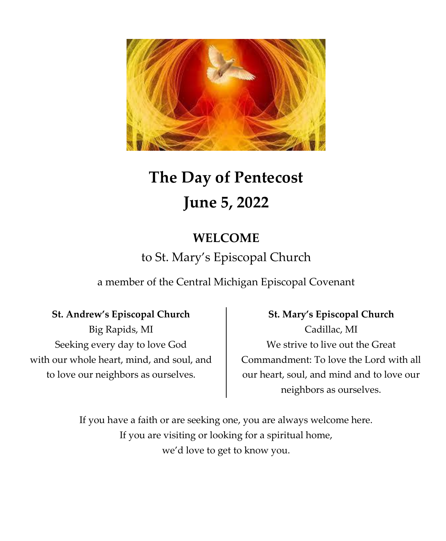

# **The Day of Pentecost June 5, 2022**

# **WELCOME**

# to St. Mary's Episcopal Church

a member of the Central Michigan Episcopal Covenant

# **St. Andrew's Episcopal Church**

Big Rapids, MI Seeking every day to love God with our whole heart, mind, and soul, and to love our neighbors as ourselves.

**St. Mary's Episcopal Church** Cadillac, MI We strive to live out the Great Commandment: To love the Lord with all our heart, soul, and mind and to love our neighbors as ourselves.

If you have a faith or are seeking one, you are always welcome here. If you are visiting or looking for a spiritual home, we'd love to get to know you.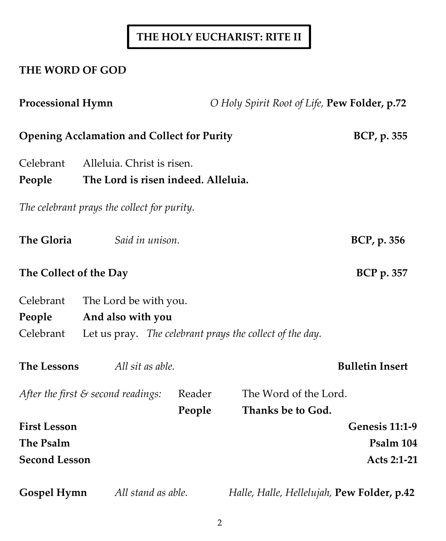# **THE HOLY EUCHARIST: RITE II**

# **THE WORD OF GOD**

| <b>Processional Hymn</b> |                                                                   |        | O Holy Spirit Root of Life, Pew Folder, p.72 |                        |
|--------------------------|-------------------------------------------------------------------|--------|----------------------------------------------|------------------------|
|                          | <b>Opening Acclamation and Collect for Purity</b>                 |        |                                              | BCP, p. 355            |
| Celebrant<br>People      | Alleluia. Christ is risen.<br>The Lord is risen indeed. Alleluia. |        |                                              |                        |
|                          | The celebrant prays the collect for purity.                       |        |                                              |                        |
| <b>The Gloria</b>        | Said in unison.                                                   |        |                                              | BCP, p. 356            |
| The Collect of the Day   |                                                                   |        |                                              | <b>BCP</b> p. 357      |
| Celebrant                | The Lord be with you.                                             |        |                                              |                        |
| People                   | And also with you                                                 |        |                                              |                        |
| Celebrant                | Let us pray. The celebrant prays the collect of the day.          |        |                                              |                        |
| <b>The Lessons</b>       | All sit as able.                                                  |        |                                              | <b>Bulletin Insert</b> |
|                          | After the first $\varepsilon$ second readings:                    | Reader | The Word of the Lord.                        |                        |
|                          |                                                                   | People | Thanks be to God.                            |                        |
| <b>First Lesson</b>      |                                                                   |        |                                              | <b>Genesis 11:1-9</b>  |
| The Psalm                |                                                                   |        |                                              | Psalm 104              |
| <b>Second Lesson</b>     |                                                                   |        |                                              | Acts 2:1-21            |
| Gospel Hymn              | All stand as able.                                                |        | Halle, Halle, Hellelujah, Pew Folder, p.42   |                        |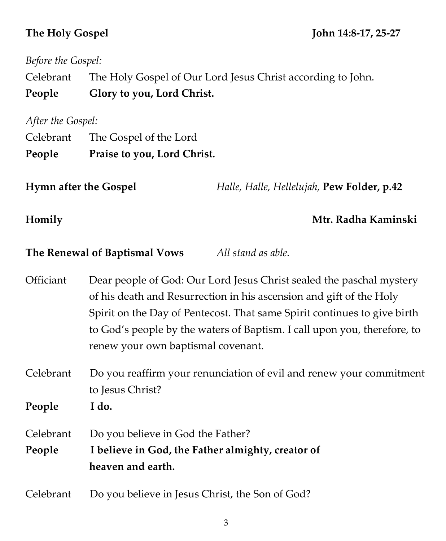# **The Holy Gospel John 14:8-17, 25-27**

| Before the Gospel:                                  |                                                                                                                                                                                                                                                                                                                                           |  |  |
|-----------------------------------------------------|-------------------------------------------------------------------------------------------------------------------------------------------------------------------------------------------------------------------------------------------------------------------------------------------------------------------------------------------|--|--|
| Celebrant                                           | The Holy Gospel of Our Lord Jesus Christ according to John.                                                                                                                                                                                                                                                                               |  |  |
| People                                              | Glory to you, Lord Christ.                                                                                                                                                                                                                                                                                                                |  |  |
| After the Gospel:                                   |                                                                                                                                                                                                                                                                                                                                           |  |  |
| Celebrant                                           | The Gospel of the Lord                                                                                                                                                                                                                                                                                                                    |  |  |
| People                                              | Praise to you, Lord Christ.                                                                                                                                                                                                                                                                                                               |  |  |
| <b>Hymn after the Gospel</b>                        | Halle, Halle, Hellelujah, Pew Folder, p.42                                                                                                                                                                                                                                                                                                |  |  |
| Homily                                              | Mtr. Radha Kaminski                                                                                                                                                                                                                                                                                                                       |  |  |
| All stand as able.<br>The Renewal of Baptismal Vows |                                                                                                                                                                                                                                                                                                                                           |  |  |
| Officiant                                           | Dear people of God: Our Lord Jesus Christ sealed the paschal mystery<br>of his death and Resurrection in his ascension and gift of the Holy<br>Spirit on the Day of Pentecost. That same Spirit continues to give birth<br>to God's people by the waters of Baptism. I call upon you, therefore, to<br>renew your own baptismal covenant. |  |  |
| Celebrant                                           | Do you reaffirm your renunciation of evil and renew your commitment<br>to Jesus Christ?                                                                                                                                                                                                                                                   |  |  |
| People                                              | I do.                                                                                                                                                                                                                                                                                                                                     |  |  |
| Celebrant<br>People                                 | Do you believe in God the Father?<br>I believe in God, the Father almighty, creator of<br>heaven and earth.                                                                                                                                                                                                                               |  |  |
| Celebrant                                           | Do you believe in Jesus Christ, the Son of God?                                                                                                                                                                                                                                                                                           |  |  |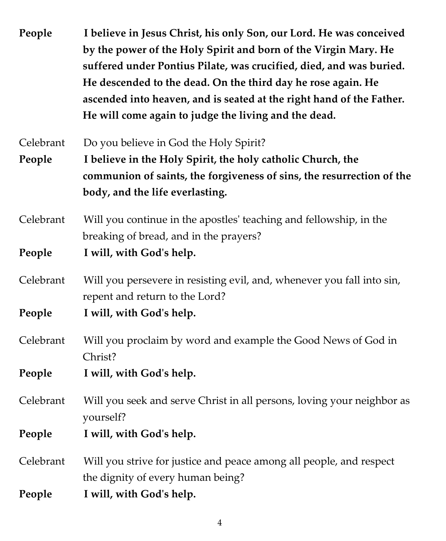| People    | I believe in Jesus Christ, his only Son, our Lord. He was conceived<br>by the power of the Holy Spirit and born of the Virgin Mary. He<br>suffered under Pontius Pilate, was crucified, died, and was buried.<br>He descended to the dead. On the third day he rose again. He<br>ascended into heaven, and is seated at the right hand of the Father.<br>He will come again to judge the living and the dead. |  |
|-----------|---------------------------------------------------------------------------------------------------------------------------------------------------------------------------------------------------------------------------------------------------------------------------------------------------------------------------------------------------------------------------------------------------------------|--|
| Celebrant | Do you believe in God the Holy Spirit?                                                                                                                                                                                                                                                                                                                                                                        |  |
| People    | I believe in the Holy Spirit, the holy catholic Church, the                                                                                                                                                                                                                                                                                                                                                   |  |
|           | communion of saints, the forgiveness of sins, the resurrection of the                                                                                                                                                                                                                                                                                                                                         |  |
|           | body, and the life everlasting.                                                                                                                                                                                                                                                                                                                                                                               |  |
| Celebrant | Will you continue in the apostles' teaching and fellowship, in the                                                                                                                                                                                                                                                                                                                                            |  |
|           | breaking of bread, and in the prayers?                                                                                                                                                                                                                                                                                                                                                                        |  |
| People    | I will, with God's help.                                                                                                                                                                                                                                                                                                                                                                                      |  |
| Celebrant | Will you persevere in resisting evil, and, whenever you fall into sin,<br>repent and return to the Lord?                                                                                                                                                                                                                                                                                                      |  |
| People    | I will, with God's help.                                                                                                                                                                                                                                                                                                                                                                                      |  |
| Celebrant | Will you proclaim by word and example the Good News of God in<br>Christ?                                                                                                                                                                                                                                                                                                                                      |  |
| People    | I will, with God's help.                                                                                                                                                                                                                                                                                                                                                                                      |  |
| Celebrant | Will you seek and serve Christ in all persons, loving your neighbor as<br>yourself?                                                                                                                                                                                                                                                                                                                           |  |
| People    | I will, with God's help.                                                                                                                                                                                                                                                                                                                                                                                      |  |
| Celebrant | Will you strive for justice and peace among all people, and respect<br>the dignity of every human being?                                                                                                                                                                                                                                                                                                      |  |
| People    | I will, with God's help.                                                                                                                                                                                                                                                                                                                                                                                      |  |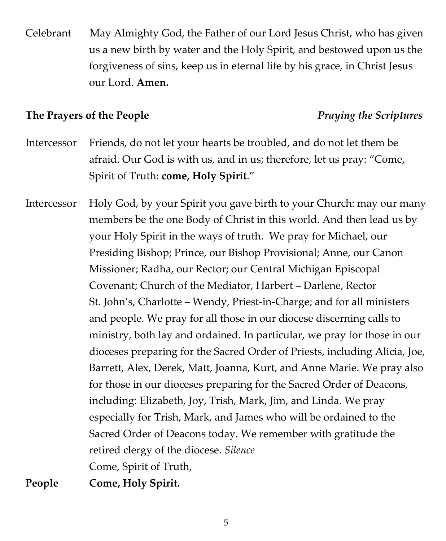Celebrant May Almighty God, the Father of our Lord Jesus Christ, who has given us a new birth by water and the Holy Spirit, and bestowed upon us the forgiveness of sins, keep us in eternal life by his grace, in Christ Jesus our Lord. **Amen.**

## **The Prayers of the People** *Praying the Scriptures*

- Intercessor Friends, do not let your hearts be troubled, and do not let them be afraid. Our God is with us, and in us; therefore, let us pray: "Come, Spirit of Truth: **come, Holy Spirit**."
- Intercessor Holy God, by your Spirit you gave birth to your Church: may our many members be the one Body of Christ in this world. And then lead us by your Holy Spirit in the ways of truth. We pray for Michael, our Presiding Bishop; Prince, our Bishop Provisional; Anne, our Canon Missioner; Radha, our Rector; our Central Michigan Episcopal Covenant; Church of the Mediator, Harbert – Darlene, Rector St. John's, Charlotte – Wendy, Priest-in-Charge; and for all ministers and people. We pray for all those in our diocese discerning calls to ministry, both lay and ordained. In particular, we pray for those in our dioceses preparing for the Sacred Order of Priests, including Alicia, Joe, Barrett, Alex, Derek, Matt, Joanna, Kurt, and Anne Marie. We pray also for those in our dioceses preparing for the Sacred Order of Deacons, including: Elizabeth, Joy, Trish, Mark, Jim, and Linda. We pray especially for Trish, Mark, and James who will be ordained to the Sacred Order of Deacons today. We remember with gratitude the retired clergy of the diocese. *Silence*  Come, Spirit of Truth, **People Come, Holy Spirit.**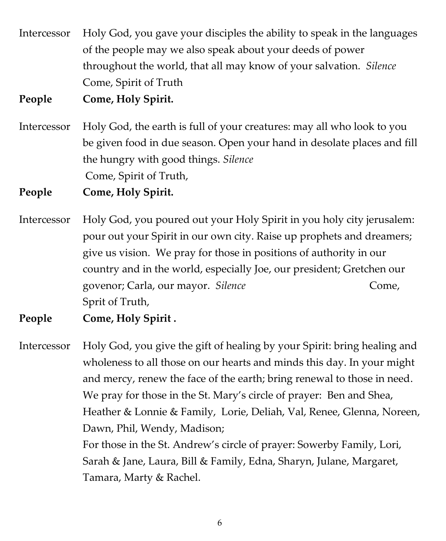Intercessor Holy God, you gave your disciples the ability to speak in the languages of the people may we also speak about your deeds of power throughout the world, that all may know of your salvation. *Silence*  Come, Spirit of Truth

**People Come, Holy Spirit.** 

Intercessor Holy God, the earth is full of your creatures: may all who look to you be given food in due season. Open your hand in desolate places and fill the hungry with good things. *Silence*  Come, Spirit of Truth,

**People Come, Holy Spirit.** 

- Intercessor Holy God, you poured out your Holy Spirit in you holy city jerusalem: pour out your Spirit in our own city. Raise up prophets and dreamers; give us vision. We pray for those in positions of authority in our country and in the world, especially Joe, our president; Gretchen our govenor; Carla, our mayor. *Silence* **Come, Come, Come, Come, Come, Come**, Come, Come, Come, Come, Come, Come, Come, Come, Come, Come, Come, Come, Come, Come, Come, Come, Come, Come, Come, Come, Come, Come, Come, Come, Com Sprit of Truth,
- **People Come, Holy Spirit .**

Intercessor Holy God, you give the gift of healing by your Spirit: bring healing and wholeness to all those on our hearts and minds this day. In your might and mercy, renew the face of the earth; bring renewal to those in need. We pray for those in the St. Mary's circle of prayer: Ben and Shea, Heather & Lonnie & Family, Lorie, Deliah, Val, Renee, Glenna, Noreen, Dawn, Phil, Wendy, Madison; For those in the St. Andrew's circle of prayer: Sowerby Family, Lori, Sarah & Jane, Laura, Bill & Family, Edna, Sharyn, Julane, Margaret, Tamara, Marty & Rachel.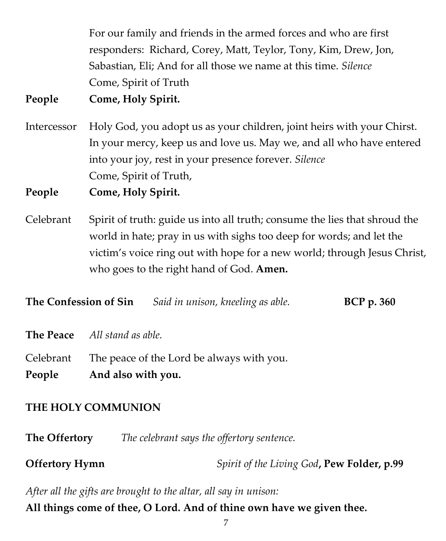For our family and friends in the armed forces and who are first responders: Richard, Corey, Matt, Teylor, Tony, Kim, Drew, Jon, Sabastian, Eli; And for all those we name at this time. *Silence*  Come, Spirit of Truth

**People Come, Holy Spirit.** 

Intercessor Holy God, you adopt us as your children, joint heirs with your Chirst. In your mercy, keep us and love us. May we, and all who have entered into your joy, rest in your presence forever. *Silence*  Come, Spirit of Truth,

**People Come, Holy Spirit.** 

Celebrant Spirit of truth: guide us into all truth; consume the lies that shroud the world in hate; pray in us with sighs too deep for words; and let the victim's voice ring out with hope for a new world; through Jesus Christ, who goes to the right hand of God. **Amen.**

**The Confession of Sin** *Said in unison, kneeling as able.* **BCP p. 360** 

**The Peace** *All stand as able.*

Celebrant The peace of the Lord be always with you.

**People And also with you.**

# **THE HOLY COMMUNION**

**The Offertory** *The celebrant says the offertory sentence.*

**Offertory Hymn** *Spirit of the Living God***, Pew Folder, p.99**

*After all the gifts are brought to the altar, all say in unison:* **All things come of thee, O Lord. And of thine own have we given thee.**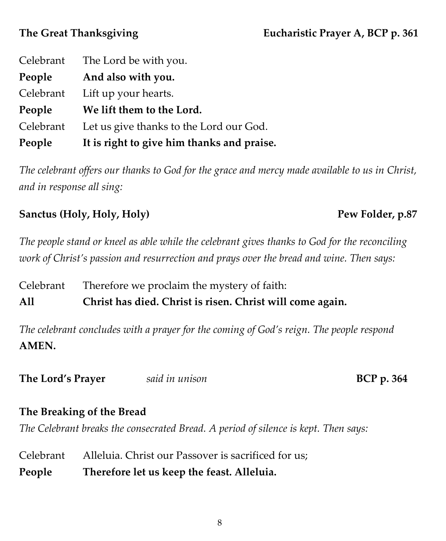|           | Celebrant The Lord be with you.            |
|-----------|--------------------------------------------|
| People    | And also with you.                         |
| Celebrant | Lift up your hearts.                       |
| People    | We lift them to the Lord.                  |
| Celebrant | Let us give thanks to the Lord our God.    |
| People    | It is right to give him thanks and praise. |

*The celebrant offers our thanks to God for the grace and mercy made available to us in Christ, and in response all sing:*

## **Sanctus (Holy, Holy, Holy) Pew Folder, p.87**

# *The people stand or kneel as able while the celebrant gives thanks to God for the reconciling work of Christ's passion and resurrection and prays over the bread and wine. Then says:*

Celebrant Therefore we proclaim the mystery of faith: **All Christ has died. Christ is risen. Christ will come again.**

*The celebrant concludes with a prayer for the coming of God's reign. The people respond* **AMEN.**

**The Lord's Prayer** *said in unison* **BCP p. 364**

## **The Breaking of the Bread**

*The Celebrant breaks the consecrated Bread. A period of silence is kept. Then says:*

| People    | Therefore let us keep the feast. Alleluia.          |
|-----------|-----------------------------------------------------|
| Celebrant | Alleluia. Christ our Passover is sacrificed for us; |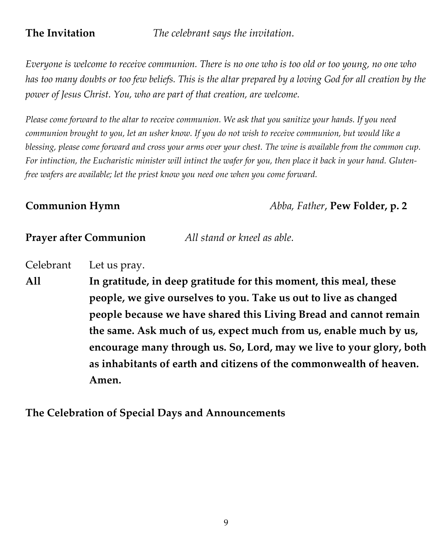**The Invitation** *The celebrant says the invitation.*

*Everyone is welcome to receive communion. There is no one who is too old or too young, no one who has too many doubts or too few beliefs. This is the altar prepared by a loving God for all creation by the power of Jesus Christ. You, who are part of that creation, are welcome.*

*Please come forward to the altar to receive communion. We ask that you sanitize your hands. If you need communion brought to you, let an usher know. If you do not wish to receive communion, but would like a blessing, please come forward and cross your arms over your chest. The wine is available from the common cup. For intinction, the Eucharistic minister will intinct the wafer for you, then place it back in your hand. Glutenfree wafers are available; let the priest know you need one when you come forward.*

**Communion Hymn** *Abba, Father*, **Pew Folder, p. 2**

## **Prayer after Communion** *All stand or kneel as able.*

Celebrant Let us pray.

**All In gratitude, in deep gratitude for this moment, this meal, these people, we give ourselves to you. Take us out to live as changed people because we have shared this Living Bread and cannot remain the same. Ask much of us, expect much from us, enable much by us, encourage many through us. So, Lord, may we live to your glory, both as inhabitants of earth and citizens of the commonwealth of heaven. Amen.** 

## **The Celebration of Special Days and Announcements**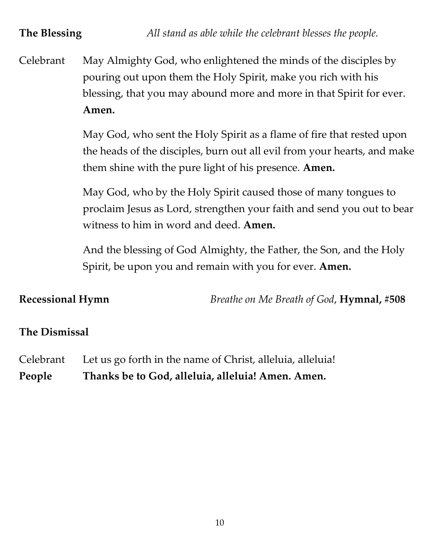**The Blessing** *All stand as able while the celebrant blesses the people.*

Celebrant May Almighty God, who enlightened the minds of the disciples by pouring out upon them the Holy Spirit, make you rich with his blessing, that you may abound more and more in that Spirit for ever. **Amen.**

> May God, who sent the Holy Spirit as a flame of fire that rested upon the heads of the disciples, burn out all evil from your hearts, and make them shine with the pure light of his presence. **Amen.**

> May God, who by the Holy Spirit caused those of many tongues to proclaim Jesus as Lord, strengthen your faith and send you out to bear witness to him in word and deed. **Amen.**

And the blessing of God Almighty, the Father, the Son, and the Holy Spirit, be upon you and remain with you for ever. **Amen.**

**Recessional Hymn** *Breathe on Me Breath of God*, **Hymnal, #508**

## **The Dismissal**

Celebrant Let us go forth in the name of Christ, alleluia, alleluia! **People Thanks be to God, alleluia, alleluia! Amen. Amen.**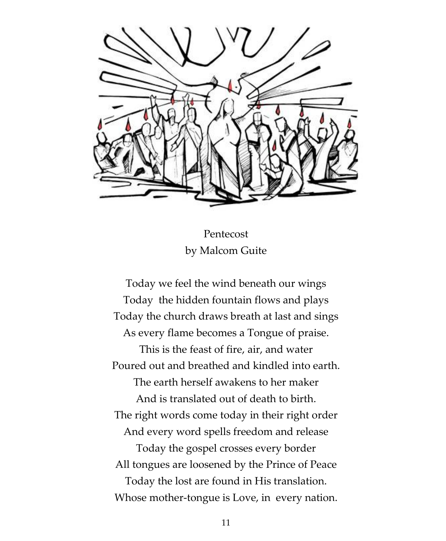

Pentecost by Malcom Guite

Today we feel the wind beneath our wings Today the hidden fountain flows and plays Today the church draws breath at last and sings As every flame becomes a Tongue of praise. This is the feast of fire, air, and water Poured out and breathed and kindled into earth. The earth herself awakens to her maker And is translated out of death to birth. The right words come today in their right order And every word spells freedom and release Today the gospel crosses every border All tongues are loosened by the Prince of Peace Today the lost are found in His translation. Whose mother-tongue is Love, in every nation.